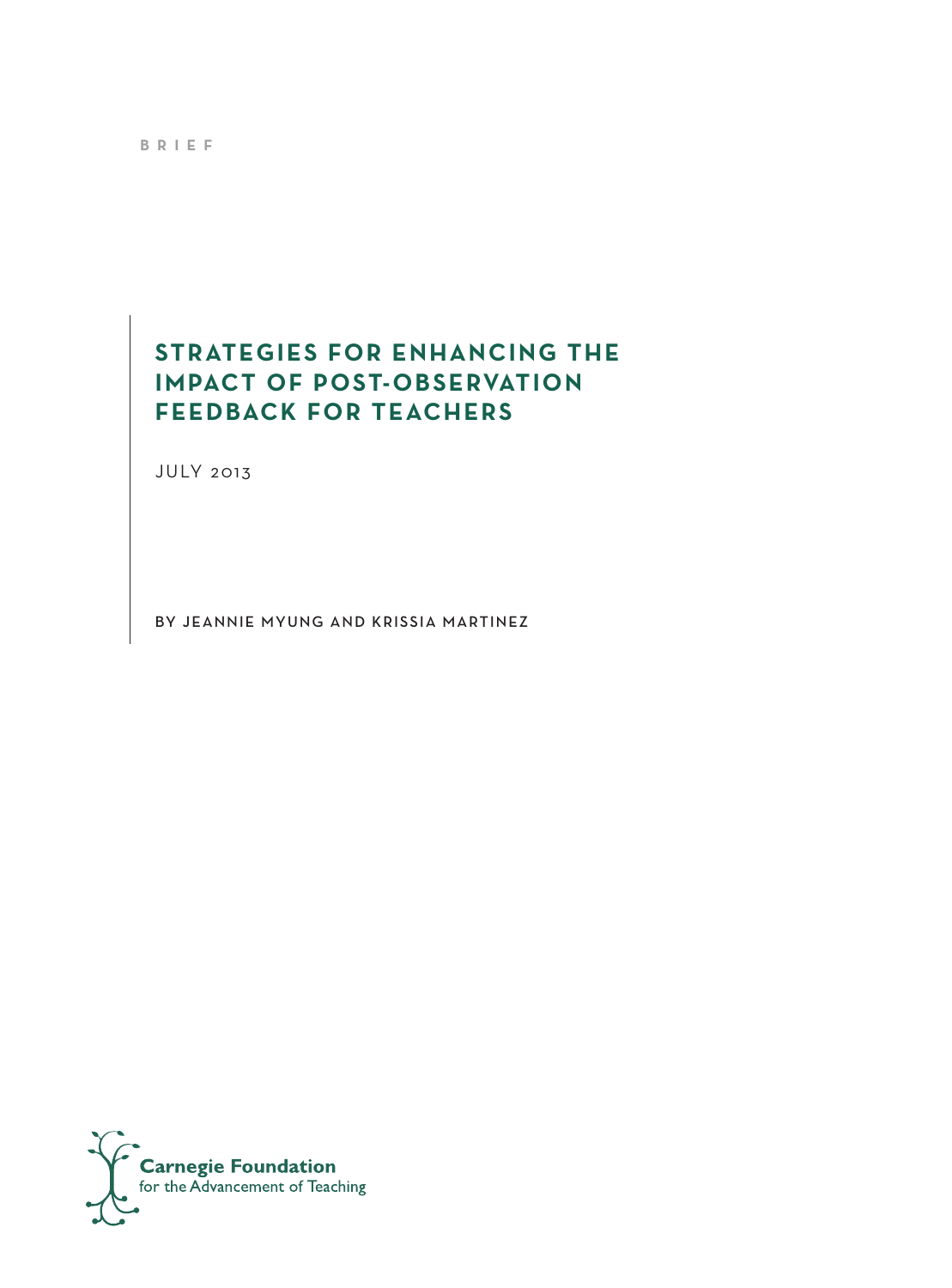**brief**

# **strategies for enhancing the impact of post-observation feedback for teachers**

JULY 2013

By jeannie myung and krissia martinez

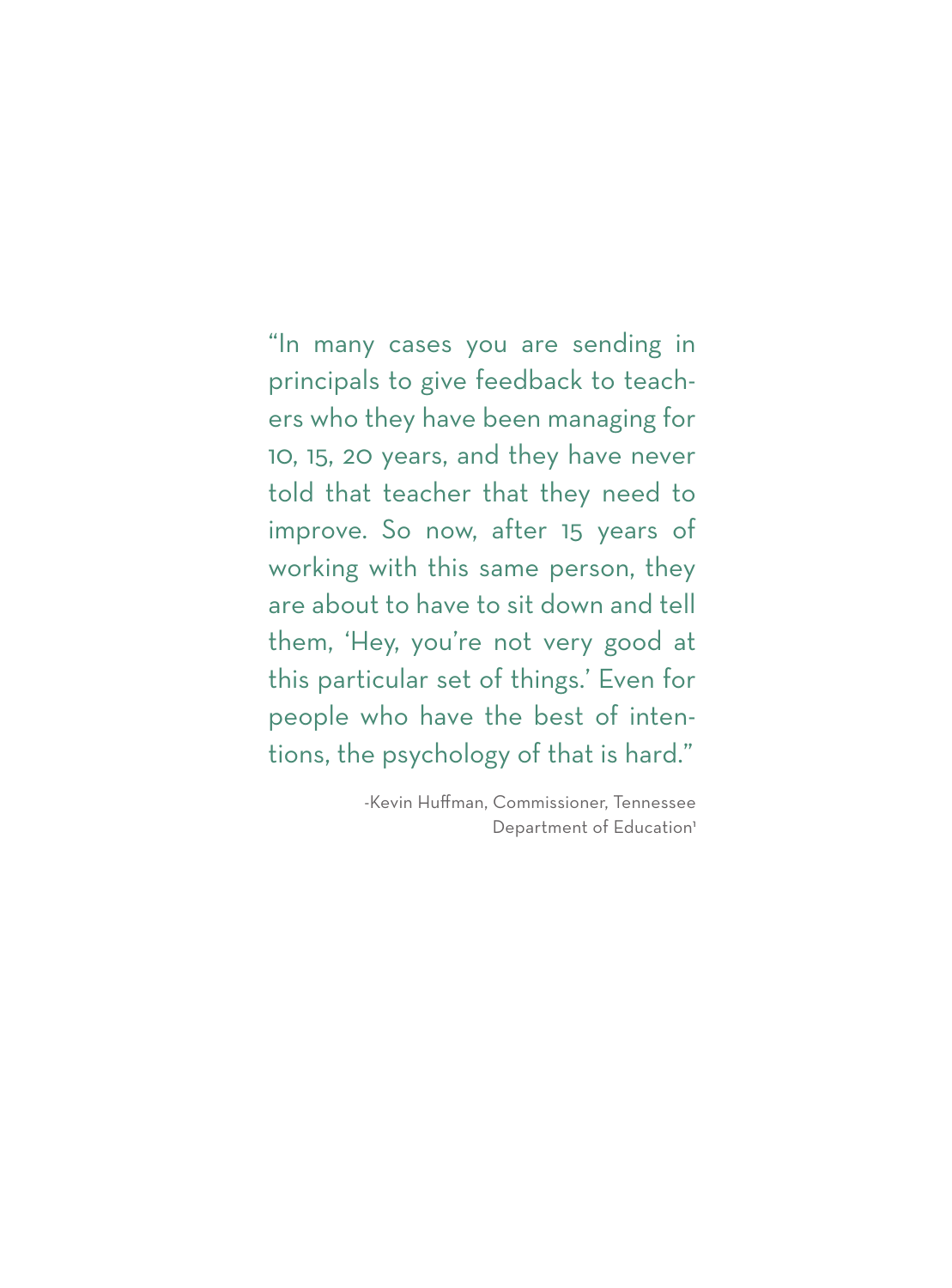"In many cases you are sending in principals to give feedback to teachers who they have been managing for 10, 15, 20 years, and they have never told that teacher that they need to improve. So now, after 15 years of working with this same person, they are about to have to sit down and tell them, 'Hey, you're not very good at this particular set of things.' Even for people who have the best of intentions, the psychology of that is hard."

> -Kevin Huffman, Commissioner, Tennessee Department of Education<sup>1</sup>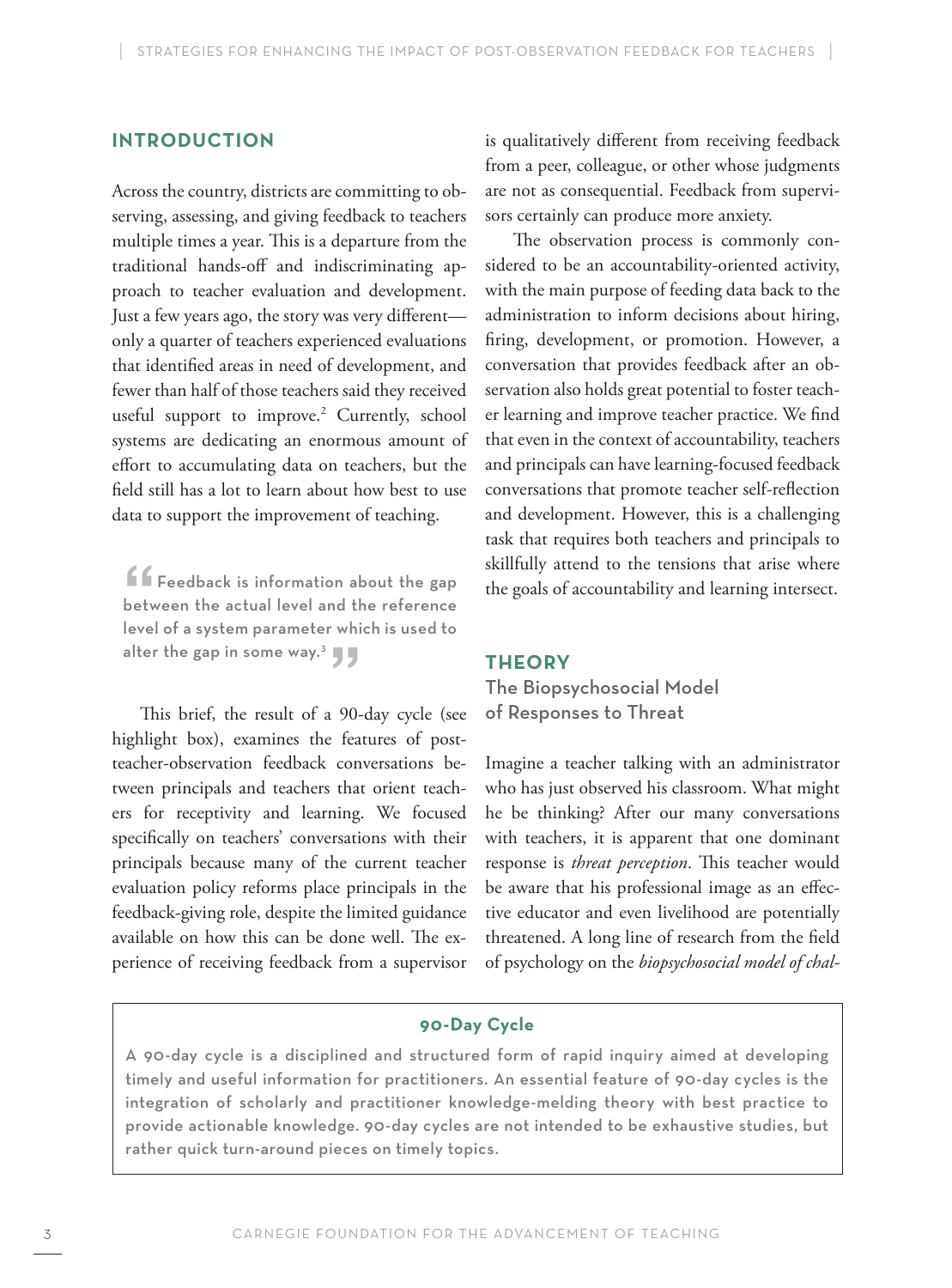# **Introduction**

Across the country, districts are committing to observing, assessing, and giving feedback to teachers multiple times a year. This is a departure from the traditional hands-off and indiscriminating approach to teacher evaluation and development. Just a few years ago, the story was very different only a quarter of teachers experienced evaluations that identified areas in need of development, and fewer than half of those teachers said they received useful support to improve.<sup>2</sup> Currently, school systems are dedicating an enormous amount of effort to accumulating data on teachers, but the field still has a lot to learn about how best to use data to support the improvement of teaching.

 $\blacksquare$  Feedback is information about the gap between the actual level and the reference level of a system parameter which is used to alter the gap in some way.<sup>3</sup>  $\blacksquare$ 

This brief, the result of a 90-day cycle (see highlight box), examines the features of postteacher-observation feedback conversations between principals and teachers that orient teachers for receptivity and learning. We focused specifically on teachers' conversations with their principals because many of the current teacher evaluation policy reforms place principals in the feedback-giving role, despite the limited guidance available on how this can be done well. The experience of receiving feedback from a supervisor

is qualitatively different from receiving feedback from a peer, colleague, or other whose judgments are not as consequential. Feedback from supervisors certainly can produce more anxiety.

The observation process is commonly considered to be an accountability-oriented activity, with the main purpose of feeding data back to the administration to inform decisions about hiring, firing, development, or promotion. However, a conversation that provides feedback after an observation also holds great potential to foster teacher learning and improve teacher practice. We find that even in the context of accountability, teachers and principals can have learning-focused feedback conversations that promote teacher self-reflection and development. However, this is a challenging task that requires both teachers and principals to skillfully attend to the tensions that arise where the goals of accountability and learning intersect.

#### **Theory**

The Biopsychosocial Model of Responses to Threat

Imagine a teacher talking with an administrator who has just observed his classroom. What might he be thinking? After our many conversations with teachers, it is apparent that one dominant response is *threat perception*. This teacher would be aware that his professional image as an effective educator and even livelihood are potentially threatened. A long line of research from the field of psychology on the *biopsychosocial model of chal-*

### **90-Day Cycle**

A 90-day cycle is a disciplined and structured form of rapid inquiry aimed at developing timely and useful information for practitioners. An essential feature of 90-day cycles is the integration of scholarly and practitioner knowledge-melding theory with best practice to provide actionable knowledge. 90-day cycles are not intended to be exhaustive studies, but rather quick turn-around pieces on timely topics.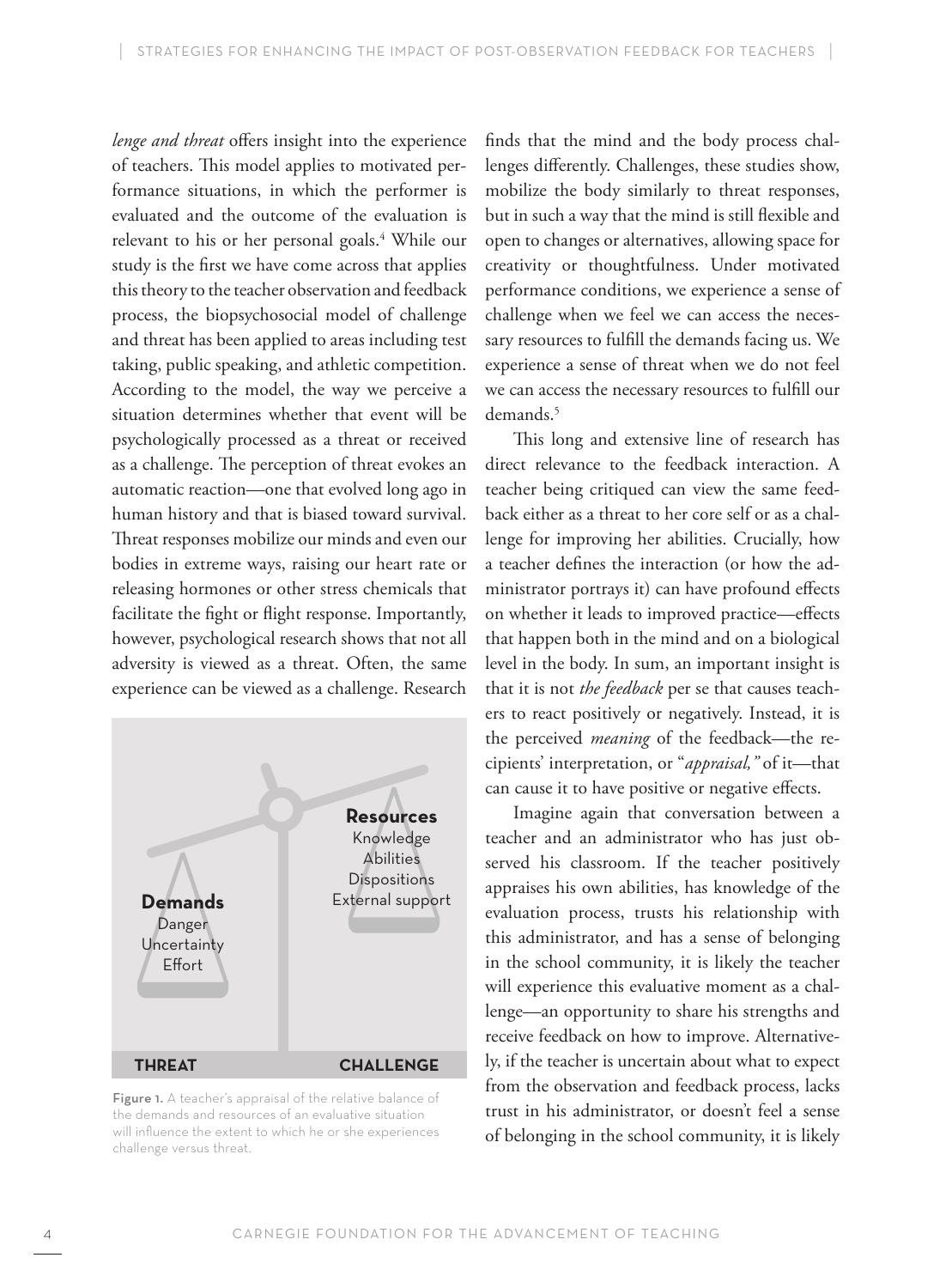*lenge and threat* offers insight into the experience of teachers. This model applies to motivated performance situations, in which the performer is evaluated and the outcome of the evaluation is relevant to his or her personal goals.<sup>4</sup> While our study is the first we have come across that applies this theory to the teacher observation and feedback process, the biopsychosocial model of challenge and threat has been applied to areas including test taking, public speaking, and athletic competition. According to the model, the way we perceive a situation determines whether that event will be psychologically processed as a threat or received as a challenge. The perception of threat evokes an automatic reaction—one that evolved long ago in human history and that is biased toward survival. Threat responses mobilize our minds and even our bodies in extreme ways, raising our heart rate or releasing hormones or other stress chemicals that facilitate the fight or flight response. Importantly, however, psychological research shows that not all adversity is viewed as a threat. Often, the same experience can be viewed as a challenge. Research



Figure 1. A teacher's appraisal of the relative balance of the demands and resources of an evaluative situation will influence the extent to which he or she experiences challenge versus threat.

finds that the mind and the body process challenges differently. Challenges, these studies show, mobilize the body similarly to threat responses, but in such a way that the mind is still flexible and open to changes or alternatives, allowing space for creativity or thoughtfulness. Under motivated performance conditions, we experience a sense of challenge when we feel we can access the necessary resources to fulfill the demands facing us. We experience a sense of threat when we do not feel we can access the necessary resources to fulfill our demands.<sup>5</sup>

This long and extensive line of research has direct relevance to the feedback interaction. A teacher being critiqued can view the same feedback either as a threat to her core self or as a challenge for improving her abilities. Crucially, how a teacher defines the interaction (or how the administrator portrays it) can have profound effects on whether it leads to improved practice—effects that happen both in the mind and on a biological level in the body. In sum, an important insight is that it is not *the feedback* per se that causes teachers to react positively or negatively. Instead, it is the perceived *meaning* of the feedback—the recipients' interpretation, or "*appraisal,"* of it—that can cause it to have positive or negative effects.

Imagine again that conversation between a teacher and an administrator who has just observed his classroom. If the teacher positively appraises his own abilities, has knowledge of the evaluation process, trusts his relationship with this administrator, and has a sense of belonging in the school community, it is likely the teacher will experience this evaluative moment as a challenge—an opportunity to share his strengths and receive feedback on how to improve. Alternatively, if the teacher is uncertain about what to expect from the observation and feedback process, lacks trust in his administrator, or doesn't feel a sense of belonging in the school community, it is likely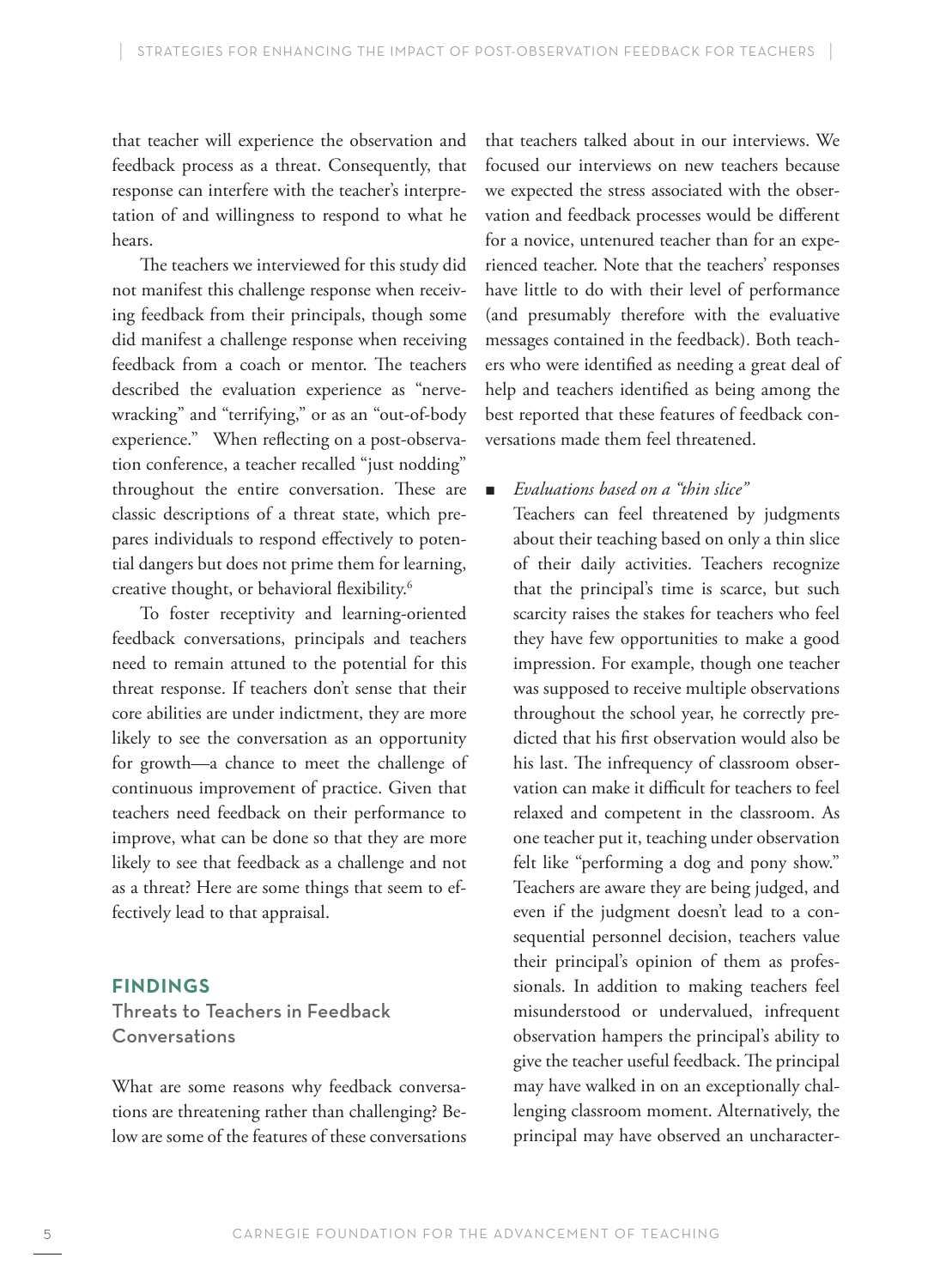that teacher will experience the observation and feedback process as a threat. Consequently, that response can interfere with the teacher's interpretation of and willingness to respond to what he hears.

The teachers we interviewed for this study did not manifest this challenge response when receiving feedback from their principals, though some did manifest a challenge response when receiving feedback from a coach or mentor. The teachers described the evaluation experience as "nervewracking" and "terrifying," or as an "out-of-body experience." When reflecting on a post-observation conference, a teacher recalled "just nodding" throughout the entire conversation. These are classic descriptions of a threat state, which prepares individuals to respond effectively to potential dangers but does not prime them for learning, creative thought, or behavioral flexibility.6

To foster receptivity and learning-oriented feedback conversations, principals and teachers need to remain attuned to the potential for this threat response. If teachers don't sense that their core abilities are under indictment, they are more likely to see the conversation as an opportunity for growth—a chance to meet the challenge of continuous improvement of practice. Given that teachers need feedback on their performance to improve, what can be done so that they are more likely to see that feedback as a challenge and not as a threat? Here are some things that seem to effectively lead to that appraisal.

### **Findings**

Threats to Teachers in Feedback **Conversations** 

What are some reasons why feedback conversations are threatening rather than challenging? Below are some of the features of these conversations that teachers talked about in our interviews. We focused our interviews on new teachers because we expected the stress associated with the observation and feedback processes would be different for a novice, untenured teacher than for an experienced teacher. Note that the teachers' responses have little to do with their level of performance (and presumably therefore with the evaluative messages contained in the feedback). Both teachers who were identified as needing a great deal of help and teachers identified as being among the best reported that these features of feedback conversations made them feel threatened.

# **E** *Evaluations based on a "thin slice"*

Teachers can feel threatened by judgments about their teaching based on only a thin slice of their daily activities. Teachers recognize that the principal's time is scarce, but such scarcity raises the stakes for teachers who feel they have few opportunities to make a good impression. For example, though one teacher was supposed to receive multiple observations throughout the school year, he correctly predicted that his first observation would also be his last. The infrequency of classroom observation can make it difficult for teachers to feel relaxed and competent in the classroom. As one teacher put it, teaching under observation felt like "performing a dog and pony show." Teachers are aware they are being judged, and even if the judgment doesn't lead to a consequential personnel decision, teachers value their principal's opinion of them as professionals. In addition to making teachers feel misunderstood or undervalued, infrequent observation hampers the principal's ability to give the teacher useful feedback. The principal may have walked in on an exceptionally challenging classroom moment. Alternatively, the principal may have observed an uncharacter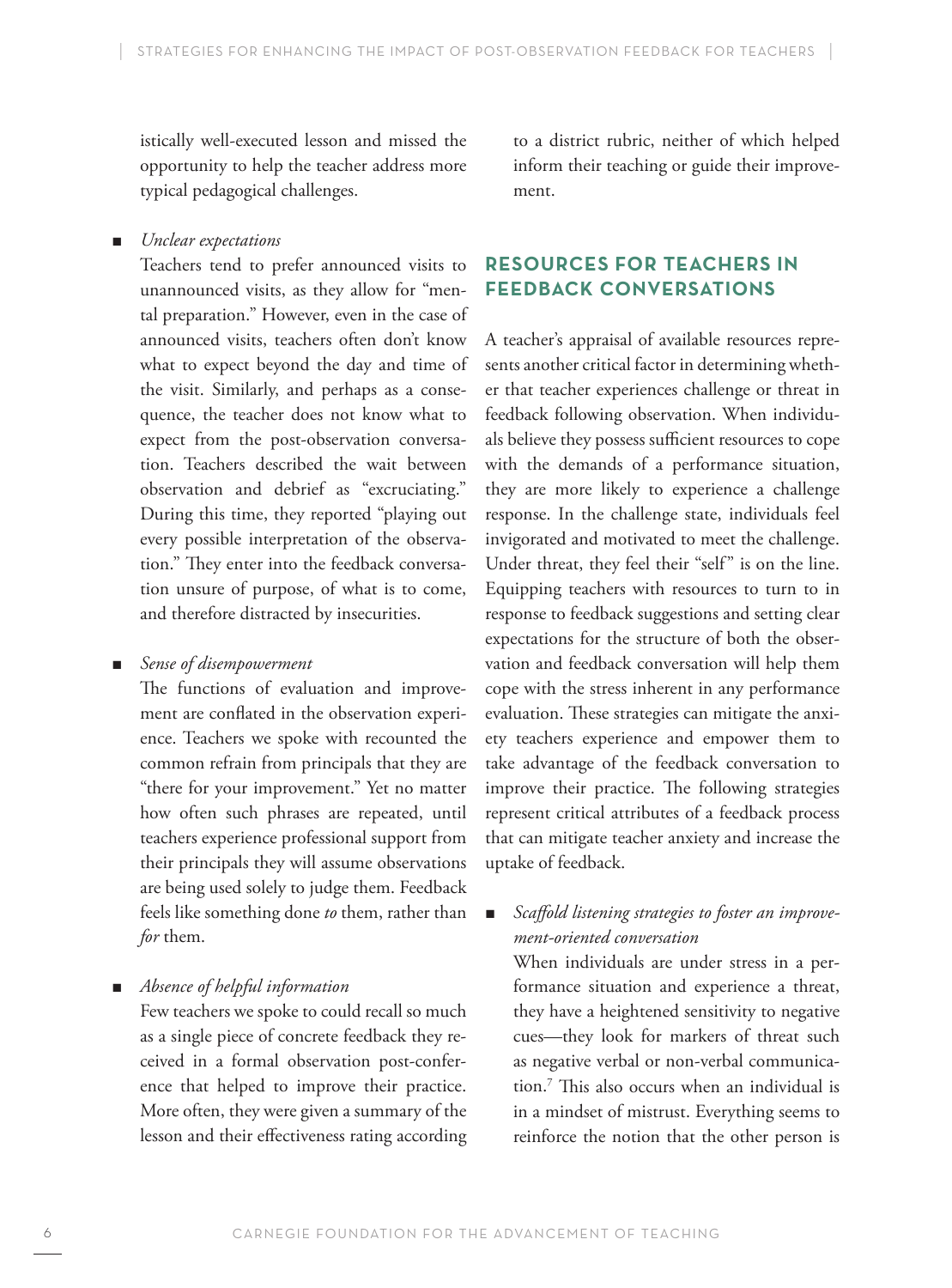istically well-executed lesson and missed the opportunity to help the teacher address more typical pedagogical challenges.

## *Unclear expectations*

Teachers tend to prefer announced visits to unannounced visits, as they allow for "mental preparation." However, even in the case of announced visits, teachers often don't know what to expect beyond the day and time of the visit. Similarly, and perhaps as a consequence, the teacher does not know what to expect from the post-observation conversation. Teachers described the wait between observation and debrief as "excruciating." During this time, they reported "playing out every possible interpretation of the observation." They enter into the feedback conversation unsure of purpose, of what is to come, and therefore distracted by insecurities.

### J *Sense of disempowerment*

The functions of evaluation and improvement are conflated in the observation experience. Teachers we spoke with recounted the common refrain from principals that they are "there for your improvement." Yet no matter how often such phrases are repeated, until teachers experience professional support from their principals they will assume observations are being used solely to judge them. Feedback feels like something done *to* them, rather than *for* them.

 $\blacksquare$  *Absence of helpful information* 

Few teachers we spoke to could recall so much as a single piece of concrete feedback they received in a formal observation post-conference that helped to improve their practice. More often, they were given a summary of the lesson and their effectiveness rating according to a district rubric, neither of which helped inform their teaching or guide their improvement.

# **Resources for teachers in feedback conversations**

A teacher's appraisal of available resources represents another critical factor in determining whether that teacher experiences challenge or threat in feedback following observation. When individuals believe they possess sufficient resources to cope with the demands of a performance situation, they are more likely to experience a challenge response. In the challenge state, individuals feel invigorated and motivated to meet the challenge. Under threat, they feel their "self" is on the line. Equipping teachers with resources to turn to in response to feedback suggestions and setting clear expectations for the structure of both the observation and feedback conversation will help them cope with the stress inherent in any performance evaluation. These strategies can mitigate the anxiety teachers experience and empower them to take advantage of the feedback conversation to improve their practice. The following strategies represent critical attributes of a feedback process that can mitigate teacher anxiety and increase the uptake of feedback.

# **B** Scaffold listening strategies to foster an improve*ment-oriented conversation*

When individuals are under stress in a performance situation and experience a threat, they have a heightened sensitivity to negative cues—they look for markers of threat such as negative verbal or non-verbal communication.7 This also occurs when an individual is in a mindset of mistrust. Everything seems to reinforce the notion that the other person is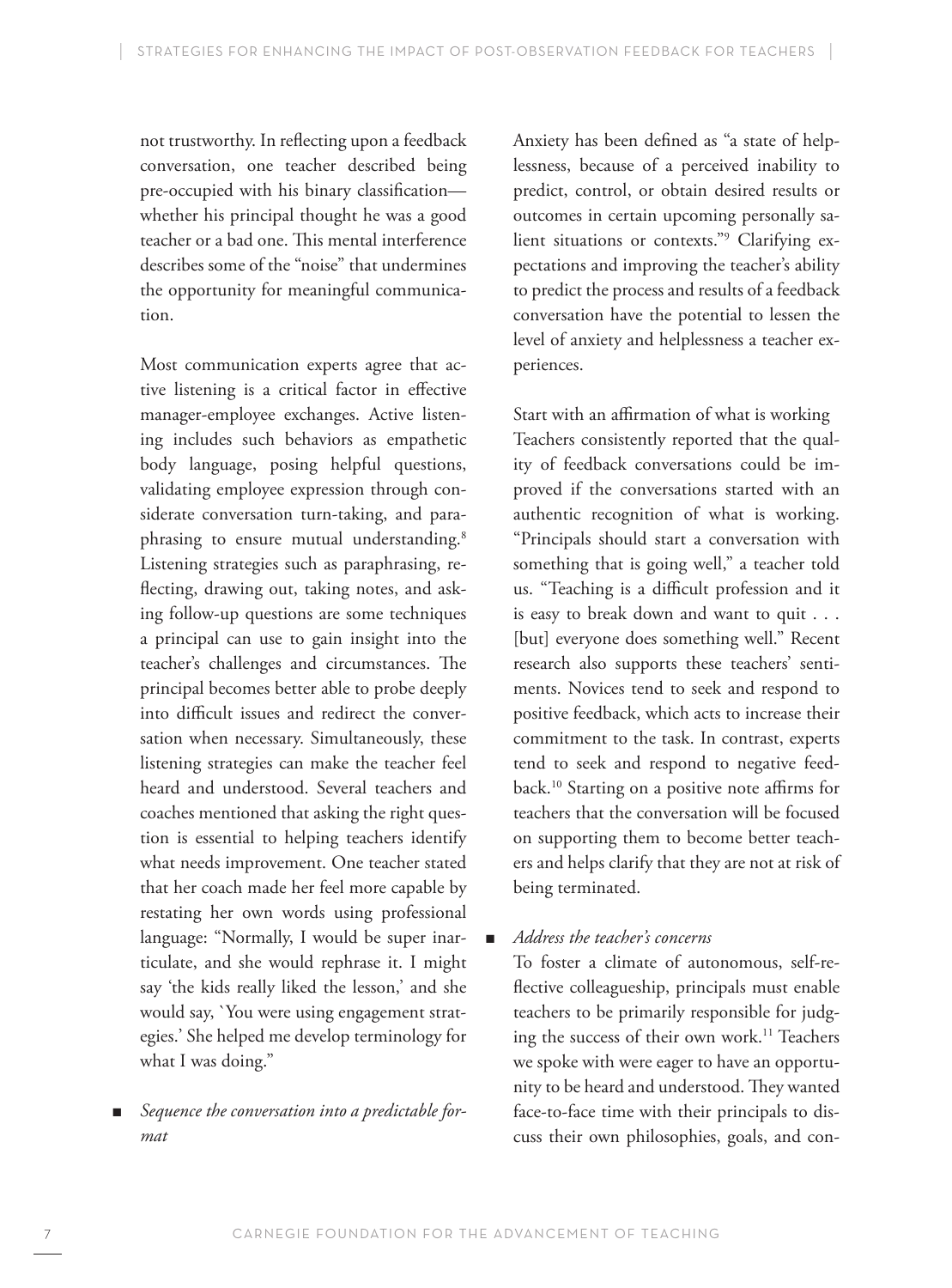not trustworthy. In reflecting upon a feedback conversation, one teacher described being pre-occupied with his binary classification whether his principal thought he was a good teacher or a bad one. This mental interference describes some of the "noise" that undermines the opportunity for meaningful communication.

Most communication experts agree that active listening is a critical factor in effective manager-employee exchanges. Active listening includes such behaviors as empathetic body language, posing helpful questions, validating employee expression through considerate conversation turn-taking, and paraphrasing to ensure mutual understanding.<sup>8</sup> Listening strategies such as paraphrasing, reflecting, drawing out, taking notes, and asking follow-up questions are some techniques a principal can use to gain insight into the teacher's challenges and circumstances. The principal becomes better able to probe deeply into difficult issues and redirect the conversation when necessary. Simultaneously, these listening strategies can make the teacher feel heard and understood. Several teachers and coaches mentioned that asking the right question is essential to helping teachers identify what needs improvement. One teacher stated that her coach made her feel more capable by restating her own words using professional language: "Normally, I would be super inarticulate, and she would rephrase it. I might say 'the kids really liked the lesson,' and she would say, `You were using engagement strategies.' She helped me develop terminology for what I was doing."

Sequence the conversation into a predictable for*mat*

Anxiety has been defined as "a state of helplessness, because of a perceived inability to predict, control, or obtain desired results or outcomes in certain upcoming personally salient situations or contexts."9 Clarifying expectations and improving the teacher's ability to predict the process and results of a feedback conversation have the potential to lessen the level of anxiety and helplessness a teacher experiences.

Start with an affirmation of what is working Teachers consistently reported that the quality of feedback conversations could be improved if the conversations started with an authentic recognition of what is working. "Principals should start a conversation with something that is going well," a teacher told us. "Teaching is a difficult profession and it is easy to break down and want to quit . . . [but] everyone does something well." Recent research also supports these teachers' sentiments. Novices tend to seek and respond to positive feedback, which acts to increase their commitment to the task. In contrast, experts tend to seek and respond to negative feedback.10 Starting on a positive note affirms for teachers that the conversation will be focused on supporting them to become better teachers and helps clarify that they are not at risk of being terminated.

# ■ *Address the teacher's concerns*

To foster a climate of autonomous, self-reflective colleagueship, principals must enable teachers to be primarily responsible for judging the success of their own work.<sup>11</sup> Teachers we spoke with were eager to have an opportunity to be heard and understood. They wanted face-to-face time with their principals to discuss their own philosophies, goals, and con-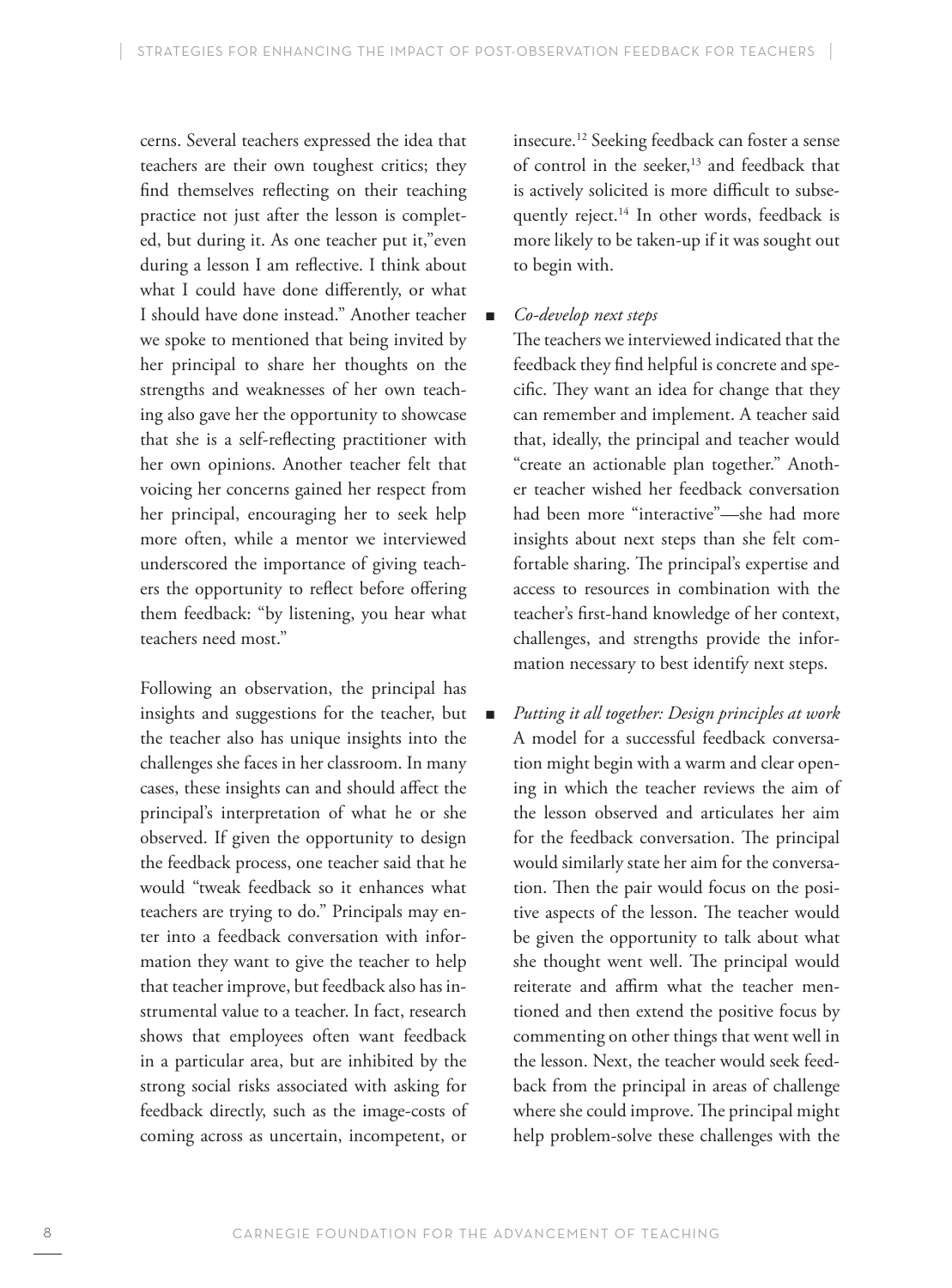cerns. Several teachers expressed the idea that teachers are their own toughest critics; they find themselves reflecting on their teaching practice not just after the lesson is completed, but during it. As one teacher put it,"even during a lesson I am reflective. I think about what I could have done differently, or what I should have done instead." Another teacher we spoke to mentioned that being invited by her principal to share her thoughts on the strengths and weaknesses of her own teaching also gave her the opportunity to showcase that she is a self-reflecting practitioner with her own opinions. Another teacher felt that voicing her concerns gained her respect from her principal, encouraging her to seek help more often, while a mentor we interviewed underscored the importance of giving teachers the opportunity to reflect before offering them feedback: "by listening, you hear what teachers need most."

Following an observation, the principal has insights and suggestions for the teacher, but the teacher also has unique insights into the challenges she faces in her classroom. In many cases, these insights can and should affect the principal's interpretation of what he or she observed. If given the opportunity to design the feedback process, one teacher said that he would "tweak feedback so it enhances what teachers are trying to do." Principals may enter into a feedback conversation with information they want to give the teacher to help that teacher improve, but feedback also has instrumental value to a teacher. In fact, research shows that employees often want feedback in a particular area, but are inhibited by the strong social risks associated with asking for feedback directly, such as the image-costs of coming across as uncertain, incompetent, or

insecure.12 Seeking feedback can foster a sense of control in the seeker,<sup>13</sup> and feedback that is actively solicited is more difficult to subsequently reject.<sup>14</sup> In other words, feedback is more likely to be taken-up if it was sought out to begin with.

# ■ *Co-develop next steps*

The teachers we interviewed indicated that the feedback they find helpful is concrete and specific. They want an idea for change that they can remember and implement. A teacher said that, ideally, the principal and teacher would "create an actionable plan together." Another teacher wished her feedback conversation had been more "interactive"—she had more insights about next steps than she felt comfortable sharing. The principal's expertise and access to resources in combination with the teacher's first-hand knowledge of her context, challenges, and strengths provide the information necessary to best identify next steps.

J *Putting it all together: Design principles at work* A model for a successful feedback conversation might begin with a warm and clear opening in which the teacher reviews the aim of the lesson observed and articulates her aim for the feedback conversation. The principal would similarly state her aim for the conversation. Then the pair would focus on the positive aspects of the lesson. The teacher would be given the opportunity to talk about what she thought went well. The principal would reiterate and affirm what the teacher mentioned and then extend the positive focus by commenting on other things that went well in the lesson. Next, the teacher would seek feedback from the principal in areas of challenge where she could improve. The principal might help problem-solve these challenges with the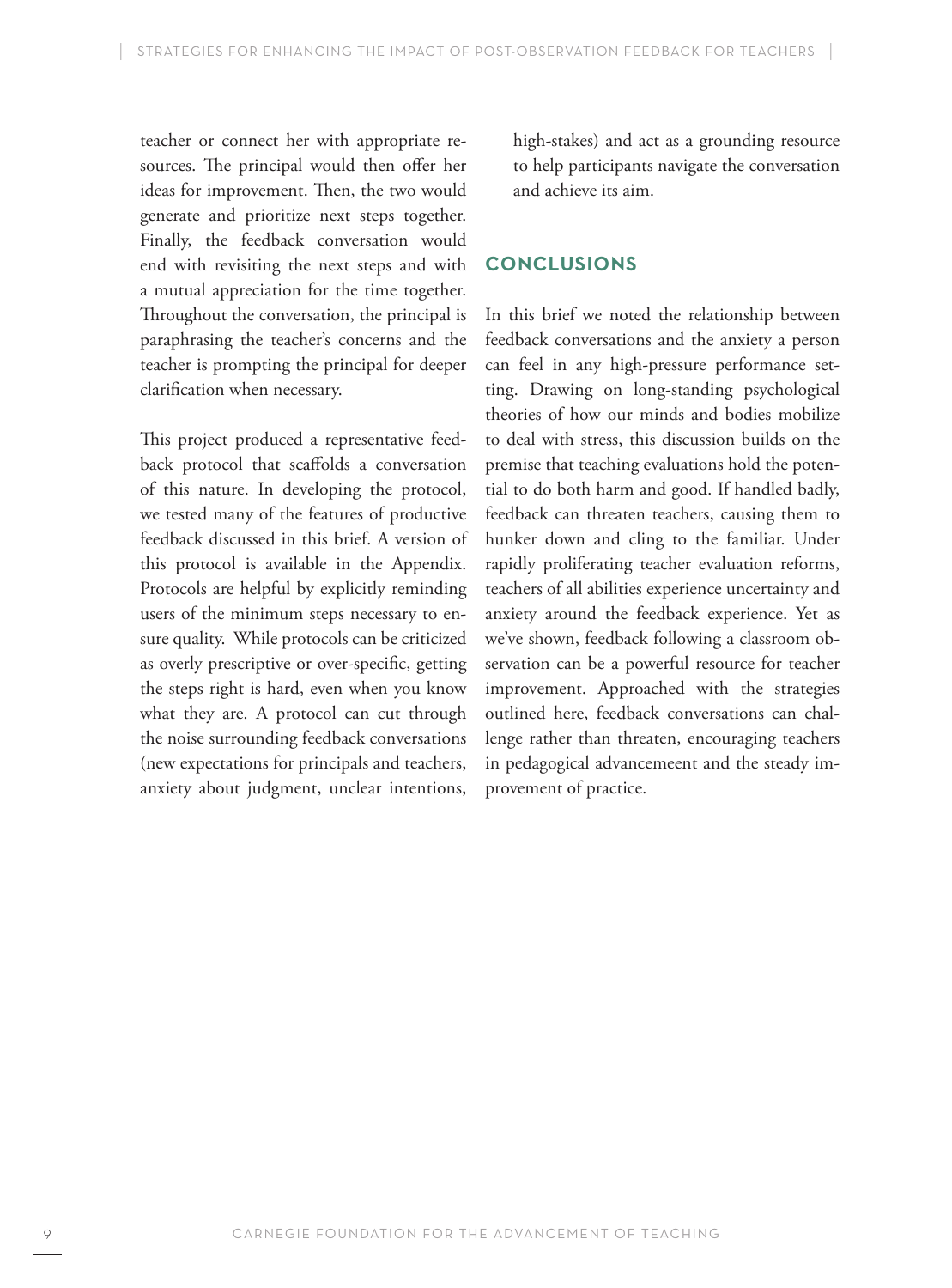teacher or connect her with appropriate resources. The principal would then offer her ideas for improvement. Then, the two would generate and prioritize next steps together. Finally, the feedback conversation would end with revisiting the next steps and with a mutual appreciation for the time together. Throughout the conversation, the principal is paraphrasing the teacher's concerns and the teacher is prompting the principal for deeper clarification when necessary.

This project produced a representative feedback protocol that scaffolds a conversation of this nature. In developing the protocol, we tested many of the features of productive feedback discussed in this brief. A version of this protocol is available in the Appendix. Protocols are helpful by explicitly reminding users of the minimum steps necessary to ensure quality. While protocols can be criticized as overly prescriptive or over-specific, getting the steps right is hard, even when you know what they are. A protocol can cut through the noise surrounding feedback conversations (new expectations for principals and teachers, anxiety about judgment, unclear intentions,

high-stakes) and act as a grounding resource to help participants navigate the conversation and achieve its aim.

# **Conclusions**

In this brief we noted the relationship between feedback conversations and the anxiety a person can feel in any high-pressure performance setting. Drawing on long-standing psychological theories of how our minds and bodies mobilize to deal with stress, this discussion builds on the premise that teaching evaluations hold the potential to do both harm and good. If handled badly, feedback can threaten teachers, causing them to hunker down and cling to the familiar. Under rapidly proliferating teacher evaluation reforms, teachers of all abilities experience uncertainty and anxiety around the feedback experience. Yet as we've shown, feedback following a classroom observation can be a powerful resource for teacher improvement. Approached with the strategies outlined here, feedback conversations can challenge rather than threaten, encouraging teachers in pedagogical advancemeent and the steady improvement of practice.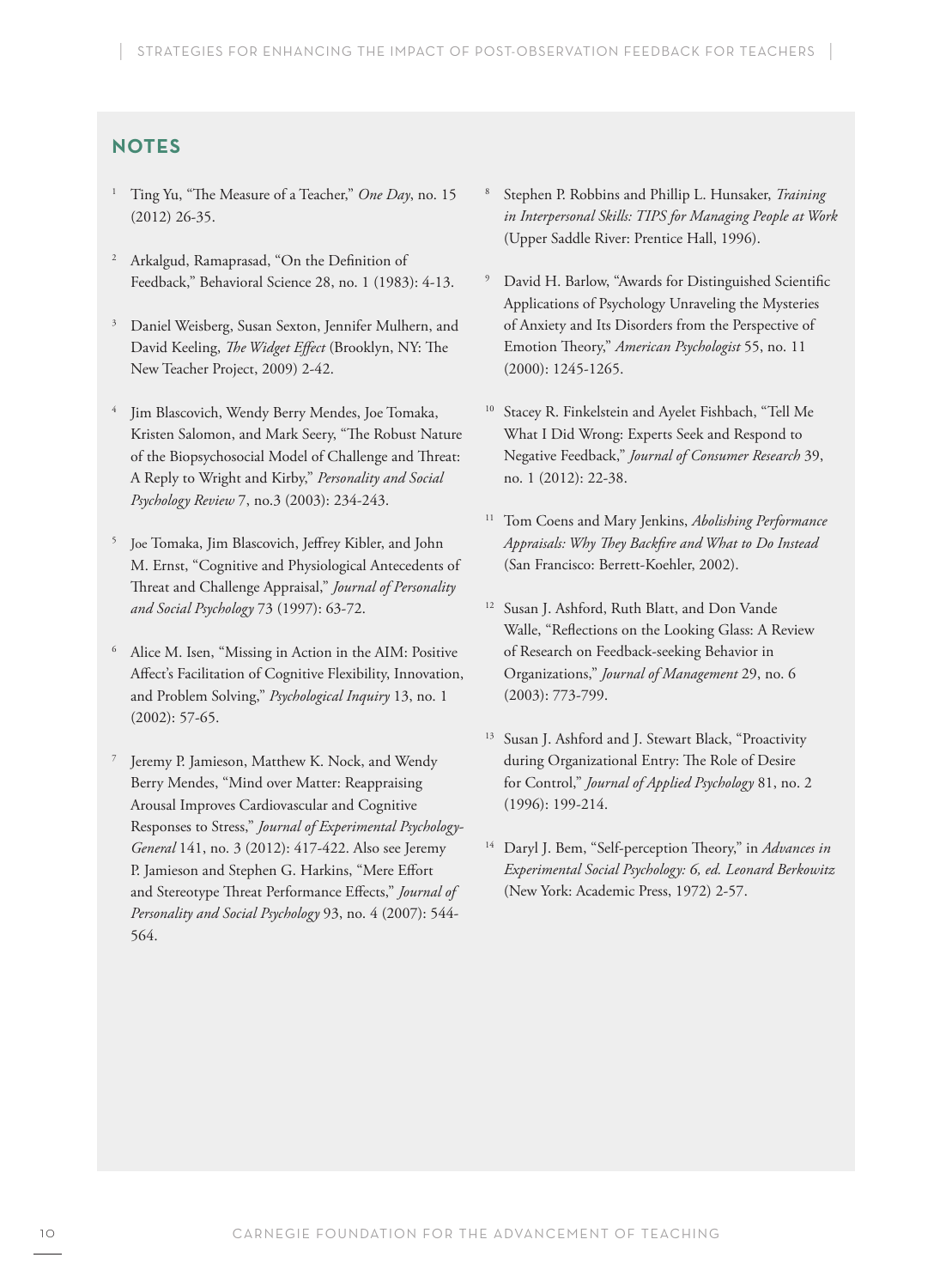# **NoteS**

- <sup>1</sup> Ting Yu, "The Measure of a Teacher," *One Day*, no. 15 (2012) 26-35.
- <sup>2</sup> Arkalgud, Ramaprasad, "On the Definition of Feedback," Behavioral Science 28, no. 1 (1983): 4-13.
- <sup>3</sup> Daniel Weisberg, Susan Sexton, Jennifer Mulhern, and David Keeling, *The Widget Effect* (Brooklyn, NY: The New Teacher Project, 2009) 2-42.
- Jim Blascovich, Wendy Berry Mendes, Joe Tomaka, Kristen Salomon, and Mark Seery, "The Robust Nature of the Biopsychosocial Model of Challenge and Threat: A Reply to Wright and Kirby," *Personality and Social Psychology Review* 7, no.3 (2003): 234-243.
- <sup>5</sup> Joe Tomaka, Jim Blascovich, Jeffrey Kibler, and John M. Ernst, "Cognitive and Physiological Antecedents of Threat and Challenge Appraisal," *Journal of Personality and Social Psychology* 73 (1997): 63-72.
- <sup>6</sup> Alice M. Isen, "Missing in Action in the AIM: Positive Affect's Facilitation of Cognitive Flexibility, Innovation, and Problem Solving," *Psychological Inquiry* 13, no. 1 (2002): 57-65.
- <sup>7</sup> Jeremy P. Jamieson, Matthew K. Nock, and Wendy Berry Mendes, "Mind over Matter: Reappraising Arousal Improves Cardiovascular and Cognitive Responses to Stress," *Journal of Experimental Psychology-General* 141, no. 3 (2012): 417-422. Also see Jeremy P. Jamieson and Stephen G. Harkins, "Mere Effort and Stereotype Threat Performance Effects," *Journal of Personality and Social Psychology* 93, no. 4 (2007): 544- 564.
- <sup>8</sup> Stephen P. Robbins and Phillip L. Hunsaker, *Training in Interpersonal Skills: TIPS for Managing People at Work* (Upper Saddle River: Prentice Hall, 1996).
- David H. Barlow, "Awards for Distinguished Scientific Applications of Psychology Unraveling the Mysteries of Anxiety and Its Disorders from the Perspective of Emotion Theory," *American Psychologist* 55, no. 11 (2000): 1245-1265.
- <sup>10</sup> Stacey R. Finkelstein and Ayelet Fishbach, "Tell Me What I Did Wrong: Experts Seek and Respond to Negative Feedback," *Journal of Consumer Research* 39, no. 1 (2012): 22-38.
- <sup>11</sup> Tom Coens and Mary Jenkins, *Abolishing Performance Appraisals: Why They Backfire and What to Do Instead* (San Francisco: Berrett-Koehler, 2002).
- <sup>12</sup> Susan J. Ashford, Ruth Blatt, and Don Vande Walle, "Reflections on the Looking Glass: A Review of Research on Feedback-seeking Behavior in Organizations," *Journal of Management* 29, no. 6 (2003): 773-799.
- <sup>13</sup> Susan J. Ashford and J. Stewart Black, "Proactivity during Organizational Entry: The Role of Desire for Control," *Journal of Applied Psychology* 81, no. 2 (1996): 199-214.
- <sup>14</sup> Daryl J. Bem, "Self-perception Theory," in *Advances in Experimental Social Psychology: 6, ed. Leonard Berkowitz* (New York: Academic Press, 1972) 2-57.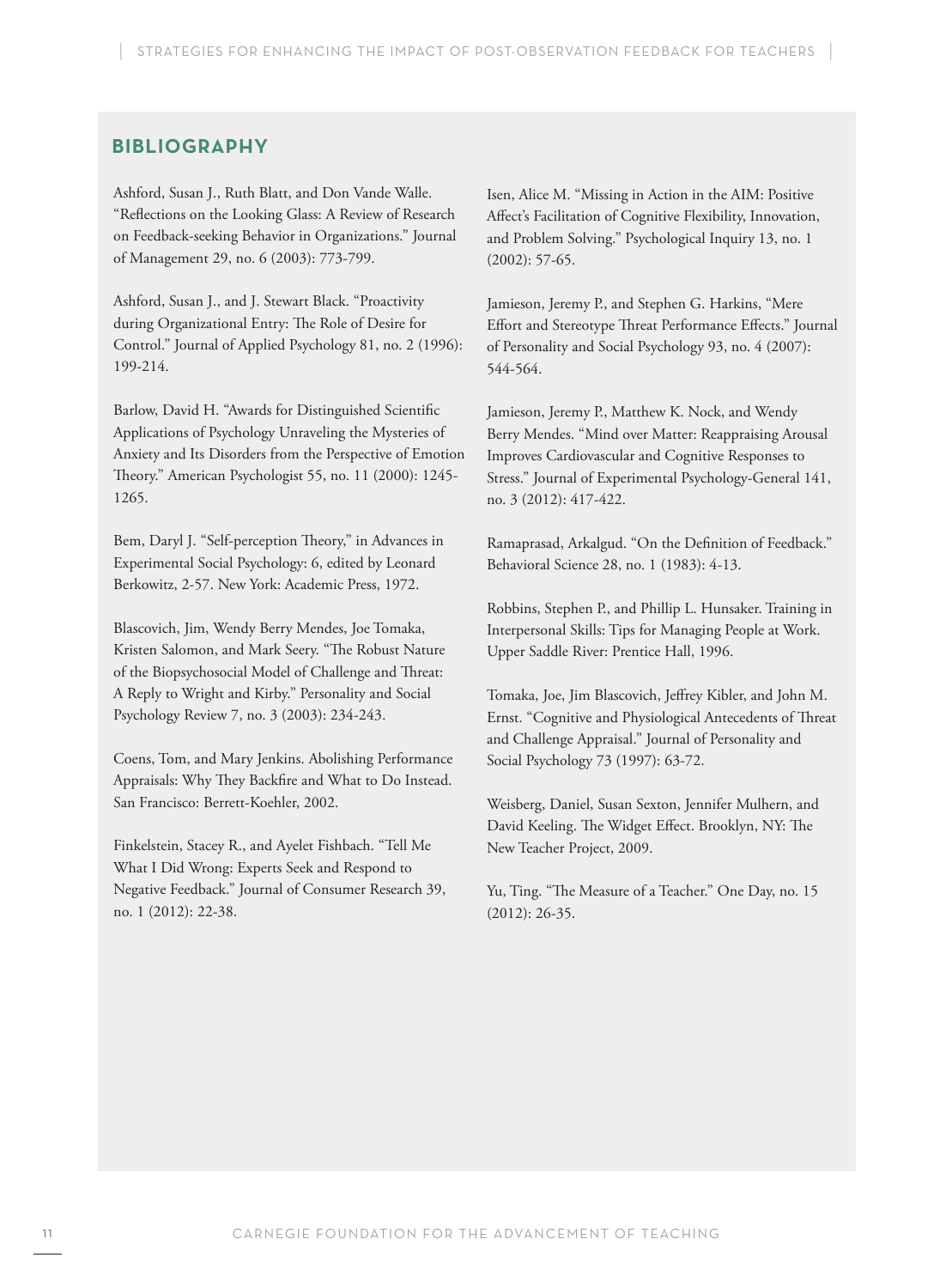# **Bibliography**

Ashford, Susan J., Ruth Blatt, and Don Vande Walle. "Reflections on the Looking Glass: A Review of Research on Feedback-seeking Behavior in Organizations." Journal of Management 29, no. 6 (2003): 773-799.

Ashford, Susan J., and J. Stewart Black. "Proactivity during Organizational Entry: The Role of Desire for Control." Journal of Applied Psychology 81, no. 2 (1996): 199-214.

Barlow, David H. "Awards for Distinguished Scientific Applications of Psychology Unraveling the Mysteries of Anxiety and Its Disorders from the Perspective of Emotion Theory." American Psychologist 55, no. 11 (2000): 1245- 1265.

Bem, Daryl J. "Self-perception Theory," in Advances in Experimental Social Psychology: 6, edited by Leonard Berkowitz, 2-57. New York: Academic Press, 1972.

Blascovich, Jim, Wendy Berry Mendes, Joe Tomaka, Kristen Salomon, and Mark Seery. "The Robust Nature of the Biopsychosocial Model of Challenge and Threat: A Reply to Wright and Kirby." Personality and Social Psychology Review 7, no. 3 (2003): 234-243.

Coens, Tom, and Mary Jenkins. Abolishing Performance Appraisals: Why They Backfire and What to Do Instead. San Francisco: Berrett-Koehler, 2002.

Finkelstein, Stacey R., and Ayelet Fishbach. "Tell Me What I Did Wrong: Experts Seek and Respond to Negative Feedback." Journal of Consumer Research 39, no. 1 (2012): 22-38.

Isen, Alice M. "Missing in Action in the AIM: Positive Affect's Facilitation of Cognitive Flexibility, Innovation, and Problem Solving." Psychological Inquiry 13, no. 1 (2002): 57-65.

Jamieson, Jeremy P., and Stephen G. Harkins, "Mere Effort and Stereotype Threat Performance Effects." Journal of Personality and Social Psychology 93, no. 4 (2007): 544-564.

Jamieson, Jeremy P., Matthew K. Nock, and Wendy Berry Mendes. "Mind over Matter: Reappraising Arousal Improves Cardiovascular and Cognitive Responses to Stress." Journal of Experimental Psychology-General 141, no. 3 (2012): 417-422.

Ramaprasad, Arkalgud. "On the Definition of Feedback." Behavioral Science 28, no. 1 (1983): 4-13.

Robbins, Stephen P., and Phillip L. Hunsaker. Training in Interpersonal Skills: Tips for Managing People at Work. Upper Saddle River: Prentice Hall, 1996.

Tomaka, Joe, Jim Blascovich, Jeffrey Kibler, and John M. Ernst. "Cognitive and Physiological Antecedents of Threat and Challenge Appraisal." Journal of Personality and Social Psychology 73 (1997): 63-72.

Weisberg, Daniel, Susan Sexton, Jennifer Mulhern, and David Keeling. The Widget Effect. Brooklyn, NY: The New Teacher Project, 2009.

Yu, Ting. "The Measure of a Teacher." One Day, no. 15 (2012): 26-35.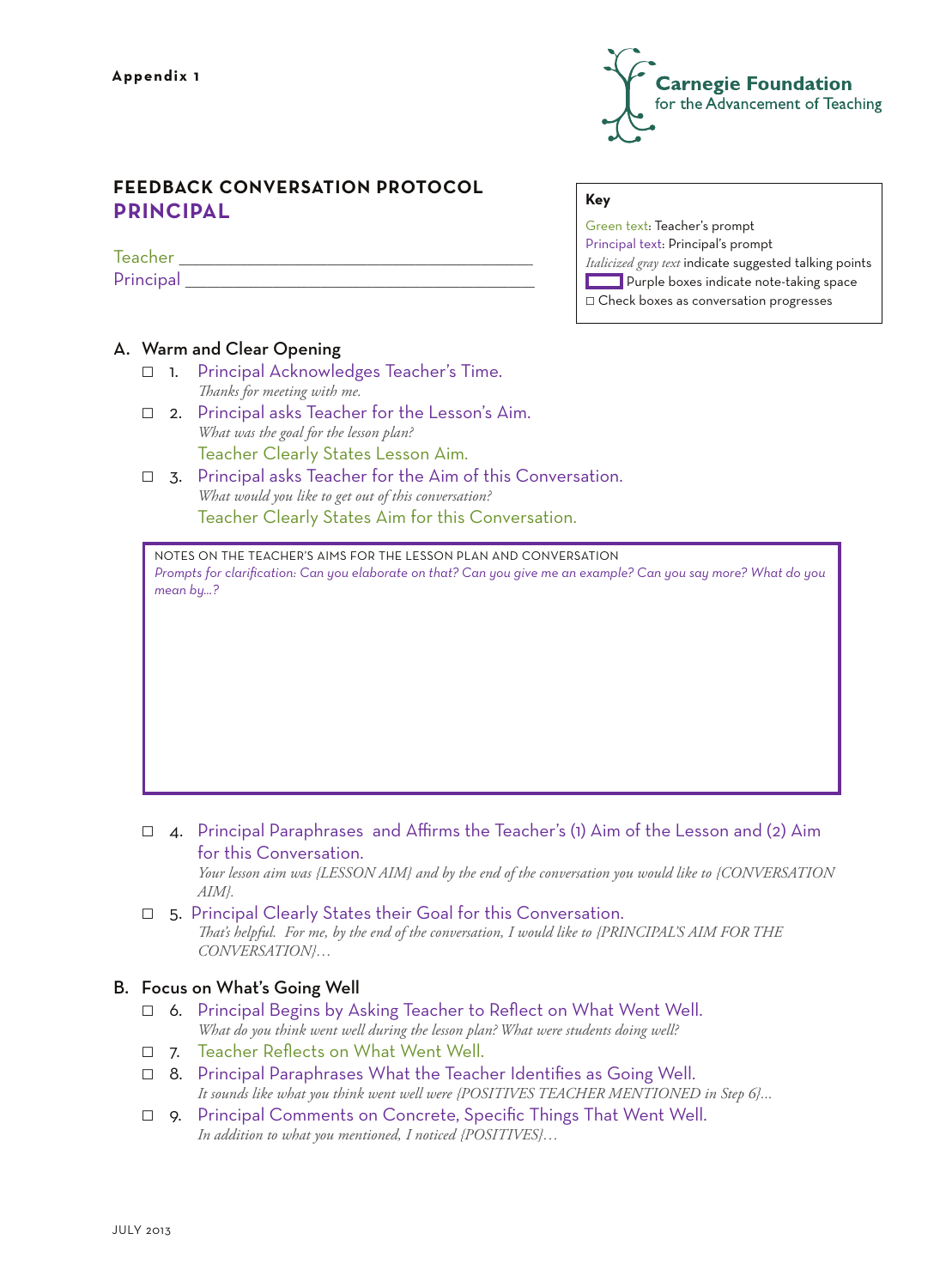

# **FEEDBACK CONVERSATION PROTOCOL Principal**

Teacher Principal

# A. Warm and Clear Opening

- $\Box$  1. Principal Acknowledges Teacher's Time.  *Thanks for meeting with me.*
- $\Box$  2. Principal asks Teacher for the Lesson's Aim.  *What was the goal for the lesson plan?*  Teacher Clearly States Lesson Aim.
- $\Box$  3. Principal asks Teacher for the Aim of this Conversation.  *What would you like to get out of this conversation?*  Teacher Clearly States Aim for this Conversation.

Notes on the Teacher's Aims for the Lesson Plan and Conversation *Prompts for clarification: Can you elaborate on that? Can you give me an example? Can you say more? What do you mean by…?*

# **Key**

Green text: Teacher's prompt Principal text: Principal's prompt *Italicized gray text* indicate suggested talking points **Purple boxes indicate note-taking space**  $\Box$  Check boxes as conversation progresses

- $\Box$  4. Principal Paraphrases and Affirms the Teacher's (1) Aim of the Lesson and (2) Aim for this Conversation.  *Your lesson aim was {LESSON AIM} and by the end of the conversation you would like to {CONVERSATION AIM}.*
- $\Box$  5. Principal Clearly States their Goal for this Conversation.  *That's helpful. For me, by the end of the conversation, I would like to {PRINCIPAL'S AIM FOR THE CONVERSATION}…*

# B. Focus on What's Going Well

- $\Box$  6. Principal Begins by Asking Teacher to Reflect on What Went Well.  *What do you think went well during the lesson plan? What were students doing well?*
- $\Box$  7. Teacher Reflects on What Went Well.
- $\Box$  8. Principal Paraphrases What the Teacher Identifies as Going Well.  *It sounds like what you think went well were {POSITIVES TEACHER MENTIONED in Step 6}...*
- **p.** Principal Comments on Concrete, Specific Things That Went Well.  *In addition to what you mentioned, I noticed {POSITIVES}…*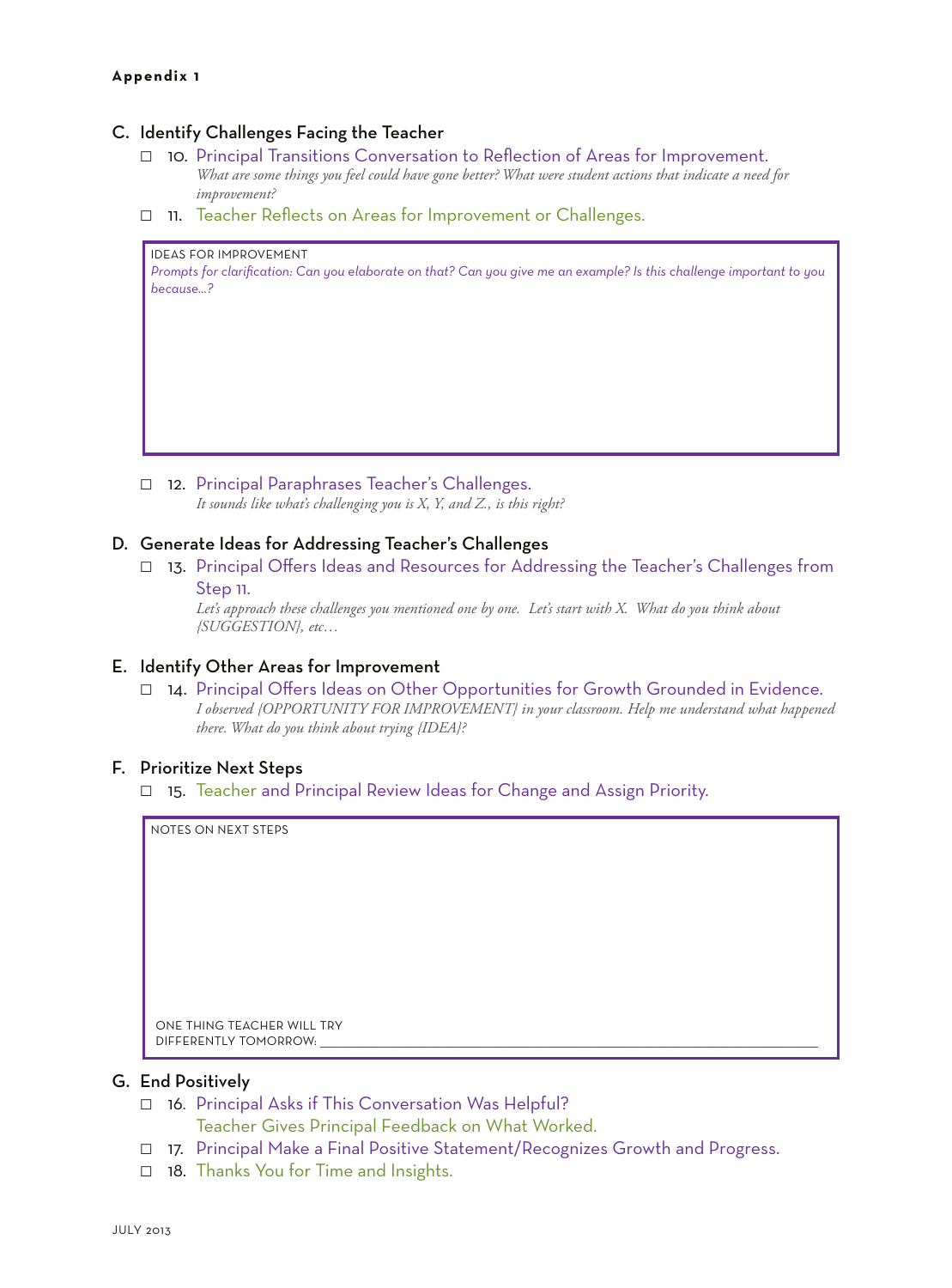#### **Appendix 1**

## C. Identify Challenges Facing the Teacher

- □ 10. Principal Transitions Conversation to Reflection of Areas for Improvement. *What are some things you feel could have gone better? What were student actions that indicate a need for improvement?*
- 11. Teacher Reflects on Areas for Improvement or Challenges.

#### ideas for improvement

*Prompts for clarification: Can you elaborate on that? Can you give me an example? Is this challenge important to you because...?*

12. Principal Paraphrases Teacher's Challenges.  *It sounds like what's challenging you is X, Y, and Z., is this right?*

#### D. Generate Ideas for Addressing Teacher's Challenges

□ 13. Principal Offers Ideas and Resources for Addressing the Teacher's Challenges from

# Step 11.

 *Let's approach these challenges you mentioned one by one. Let's start with X. What do you think about {SUGGESTION}, etc…*

# E. Identify Other Areas for Improvement

14. Principal Offers Ideas on Other Opportunities for Growth Grounded in Evidence.  *I observed {OPPORTUNITY FOR IMPROVEMENT} in your classroom. Help me understand what happened there. What do you think about trying {IDEA}?*

#### F. Prioritize Next Steps

 $\Box$  15. Teacher and Principal Review Ideas for Change and Assign Priority.

notes on next steps

One thing Teacher will try DIFFERENTLY TOMORROW:

# G. End Positively

- $\Box$  16. Principal Asks if This Conversation Was Helpful?
	- Teacher Gives Principal Feedback on What Worked.
- □ 17. Principal Make a Final Positive Statement/Recognizes Growth and Progress.
- $\Box$  18. Thanks You for Time and Insights.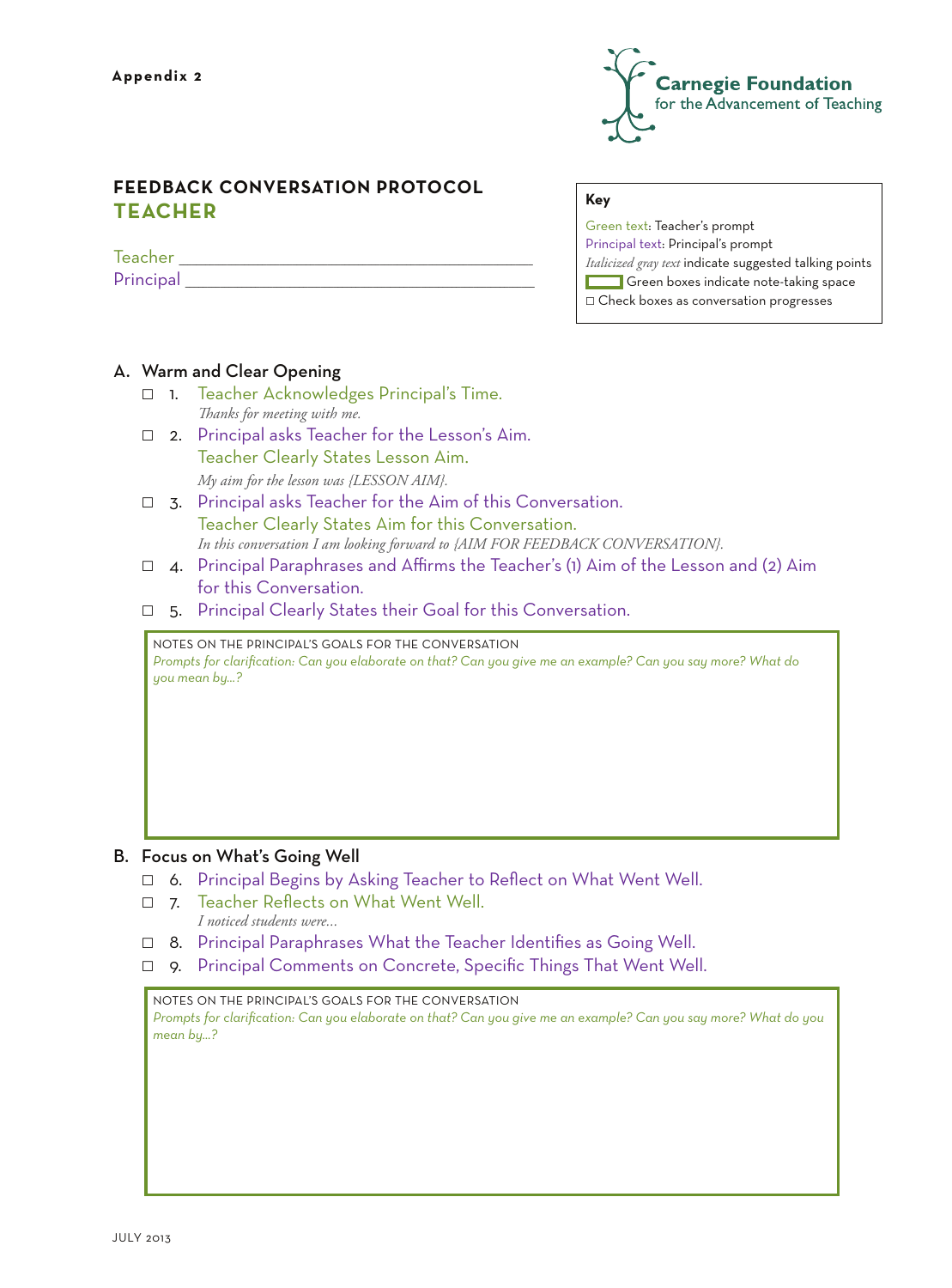

# **FEEDBACK CONVERSATION PROTOCOL TEACHER**

 ${Teacher}$ Principal and the set of  $\Gamma$ 

# **Key**

Green text: Teacher's prompt Principal text: Principal's prompt *Italicized gray text* indicate suggested talking points Green boxes indicate note-taking space  $\Box$  Check boxes as conversation progresses

# A. Warm and Clear Opening

- 1. Teacher Acknowledges Principal's Time.  *Thanks for meeting with me.*
- $\Box$  2. Principal asks Teacher for the Lesson's Aim. Teacher Clearly States Lesson Aim.  *My aim for the lesson was {LESSON AIM}.*
- $\Box$  3. Principal asks Teacher for the Aim of this Conversation. Teacher Clearly States Aim for this Conversation. *In this conversation I am looking forward to {AIM FOR FEEDBACK CONVERSATION}.*
- $\Box$  4. Principal Paraphrases and Affirms the Teacher's (1) Aim of the Lesson and (2) Aim for this Conversation.
- $\Box$  5. Principal Clearly States their Goal for this Conversation.

Notes on the PRINCIPAL'S GOALS for the Conversation *Prompts for clarification: Can you elaborate on that? Can you give me an example? Can you say more? What do you mean by…?*

# B. Focus on What's Going Well

- $\Box$  6. Principal Begins by Asking Teacher to Reflect on What Went Well.
- 7. Teacher Reflects on What Went Well.  *I noticed students were...*
- □ 8. Principal Paraphrases What the Teacher Identifies as Going Well.
- **p.** 9. Principal Comments on Concrete, Specific Things That Went Well.

Notes on the PRINCIPAL'S GOALS for the Conversation *Prompts for clarification: Can you elaborate on that? Can you give me an example? Can you say more? What do you mean by…?*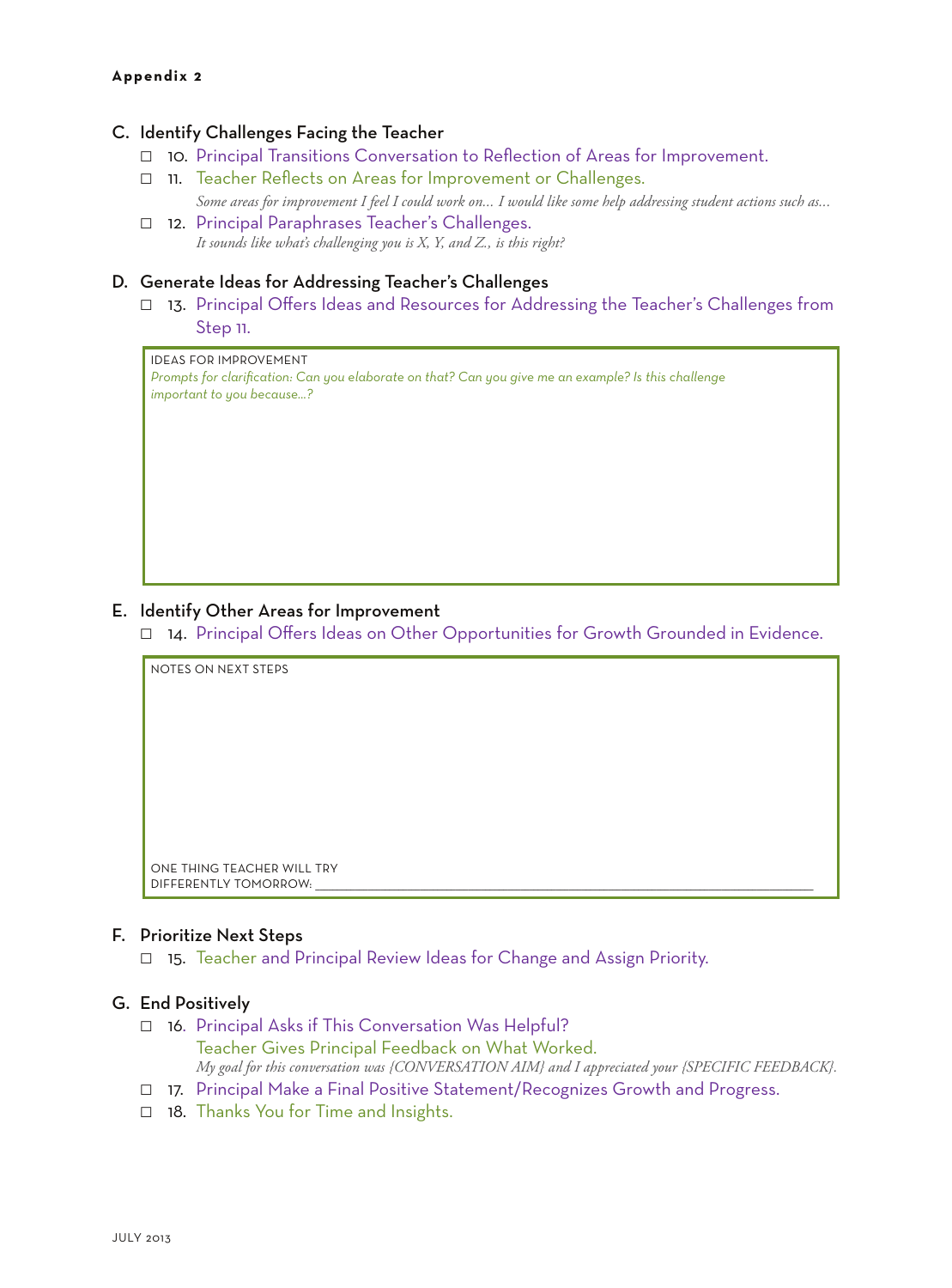## **Appendix 2**

# C. Identify Challenges Facing the Teacher

- $\Box$  10. Principal Transitions Conversation to Reflection of Areas for Improvement.
- 11. Teacher Reflects on Areas for Improvement or Challenges. *Some areas for improvement I feel I could work on... I would like some help addressing student actions such as...*
- □ 12. Principal Paraphrases Teacher's Challenges.  *It sounds like what's challenging you is X, Y, and Z., is this right?*

# D. Generate Ideas for Addressing Teacher's Challenges

□ 13. Principal Offers Ideas and Resources for Addressing the Teacher's Challenges from Step 11.

# ideas for improvement

*Prompts for clarification: Can you elaborate on that? Can you give me an example? Is this challenge important to you because...?*

### E. Identify Other Areas for Improvement

14. Principal Offers Ideas on Other Opportunities for Growth Grounded in Evidence.

notes on next steps One thing Teacher will try

### F. Prioritize Next Steps

DIFFERENTLY TOMORROW:

 $\Box$  15. Teacher and Principal Review Ideas for Change and Assign Priority.

## G. End Positively

- $\Box$  16. Principal Asks if This Conversation Was Helpful? Teacher Gives Principal Feedback on What Worked. *My goal for this conversation was {CONVERSATION AIM} and I appreciated your {SPECIFIC FEEDBACK}.*
- □ 17. Principal Make a Final Positive Statement/Recognizes Growth and Progress.
- $\Box$  18. Thanks You for Time and Insights.